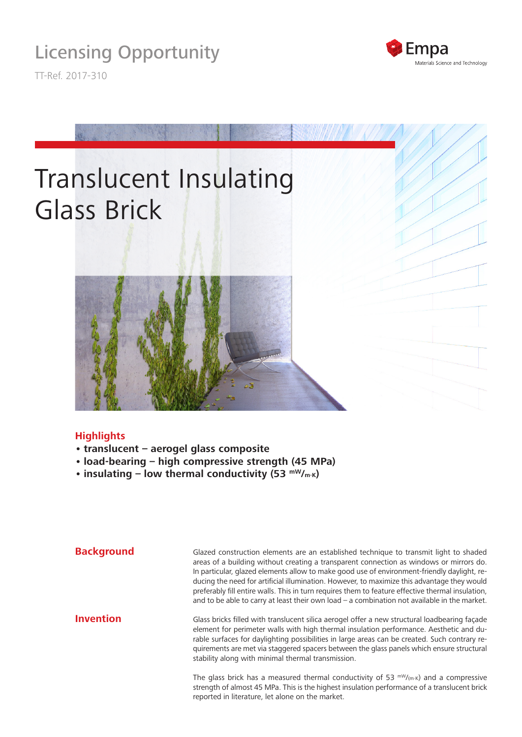

TT-Ref. 2017-310





## **Highlights**

- **• translucent aerogel glass composite**
- **• load-bearing high compressive strength (45 MPa)**
- **insulating low thermal conductivity (53 mW/m·k)**

Glazed construction elements are an established technique to transmit light to shaded areas of a building without creating a transparent connection as windows or mirrors do. In particular, glazed elements allow to make good use of environment-friendly daylight, reducing the need for artificial illumination. However, to maximize this advantage they would preferably fill entire walls. This in turn requires them to feature effective thermal insulation, and to be able to carry at least their own load – a combination not available in the market. Glass bricks filled with translucent silica aerogel offer a new structural loadbearing façade element for perimeter walls with high thermal insulation performance. Aesthetic and durable surfaces for daylighting possibilities in large areas can be created. Such contrary requirements are met via staggered spacers between the glass panels which ensure structural **Background Invention**

stability along with minimal thermal transmission.

The glass brick has a measured thermal conductivity of 53  $mW/(m \cdot K)$  and a compressive strength of almost 45 MPa. This is the highest insulation performance of a translucent brick reported in literature, let alone on the market.